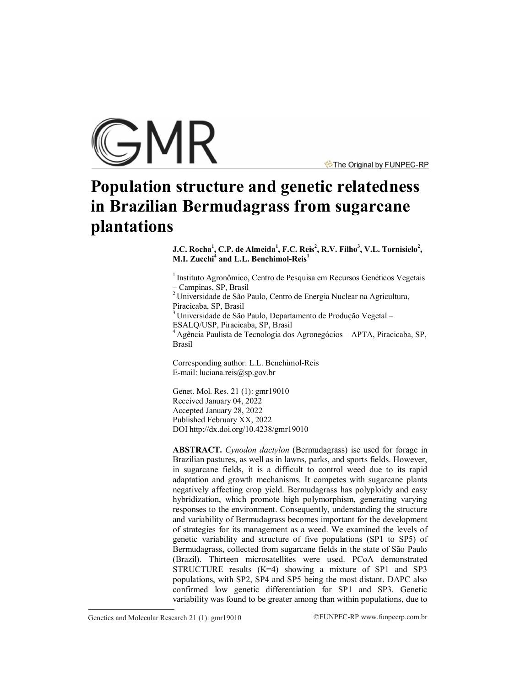

The Original by FUNPEC-RP

# **Population structure and genetic relatedness in Brazilian Bermudagrass from sugarcane plantations**

**J.C. Rocha<sup>1</sup> , C.P. de Almeida<sup>1</sup> , F.C. Reis<sup>2</sup> , R.V. Filho<sup>3</sup> , V.L. Tornisielo<sup>2</sup> , M.I. Zucchi<sup>4</sup> and L.L. Benchimol-Reis<sup>1</sup>**

<sup>1</sup> Instituto Agronômico, Centro de Pesquisa em Recursos Genéticos Vegetais – Campinas, SP, Brasil

<sup>2</sup> Universidade de São Paulo, Centro de Energia Nuclear na Agricultura, Piracicaba, SP, Brasil

<sup>3</sup> Universidade de São Paulo, Departamento de Produção Vegetal -ESALQ/USP, Piracicaba, SP, Brasil

<sup>4</sup> Agência Paulista de Tecnologia dos Agronegócios – APTA, Piracicaba, SP, Brasil

Corresponding author: L.L. Benchimol-Reis E-mail: luciana.reis@sp.gov.br

Genet. Mol. Res. 21 (1): gmr19010 Received January 04, 2022 Accepted January 28, 2022 Published February XX, 2022 DO[I http://dx.doi.org/10.4238/gmr19010](http://dx.doi.org/10.4238/gmr19010)

**ABSTRACT.** *Cynodon dactylon* (Bermudagrass) ise used for forage in Brazilian pastures, as well as in lawns, parks, and sports fields. However, in sugarcane fields, it is a difficult to control weed due to its rapid adaptation and growth mechanisms. It competes with sugarcane plants negatively affecting crop yield. Bermudagrass has polyploidy and easy hybridization, which promote high polymorphism, generating varying responses to the environment. Consequently, understanding the structure and variability of Bermudagrass becomes important for the development of strategies for its management as a weed. We examined the levels of genetic variability and structure of five populations (SP1 to SP5) of Bermudagrass, collected from sugarcane fields in the state of São Paulo (Brazil). Thirteen microsatellites were used. PCoA demonstrated STRUCTURE results (K=4) showing a mixture of SP1 and SP3 populations, with SP2, SP4 and SP5 being the most distant. DAPC also confirmed low genetic differentiation for SP1 and SP3. Genetic variability was found to be greater among than within populations, due to

Genetics and Molecular Research 21 (1): gmr19010 ©FUNPEC-RP www.funpecrp.com.br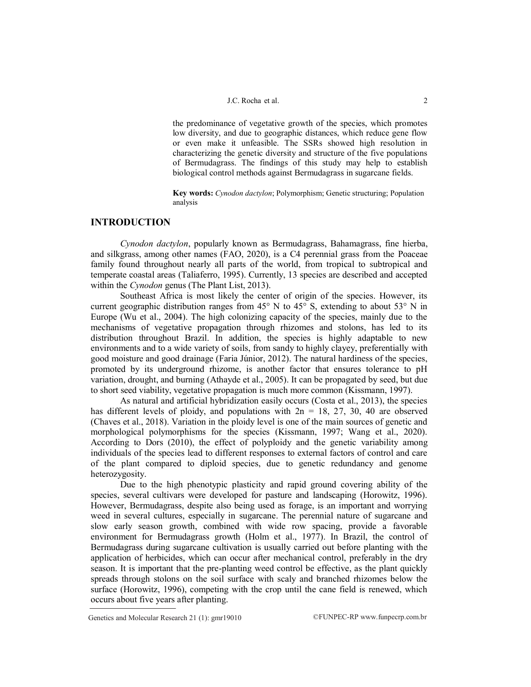the predominance of vegetative growth of the species, which promotes low diversity, and due to geographic distances, which reduce gene flow or even make it unfeasible. The SSRs showed high resolution in characterizing the genetic diversity and structure of the five populations of Bermudagrass. The findings of this study may help to establish biological control methods against Bermudagrass in sugarcane fields.

**Key words:** *Cynodon dactylon*; Polymorphism; Genetic structuring; Population analysis

## **INTRODUCTION**

*Cynodon dactylon*, popularly known as Bermudagrass, Bahamagrass, fine hierba, and silkgrass, among other names (FAO, 2020), is a C4 perennial grass from the [Poaceae](https://www.invasive.org/browse/tax.cfm?fam=395) family found throughout nearly all parts of the world, from tropical to subtropical and temperate coastal areas (Taliaferro, 1995). Currently, 13 species are described and accepted within the *Cynodon* genus (The Plant List, 2013).

Southeast Africa is most likely the center of origin of the species. However, its current geographic distribution ranges from  $45^{\circ}$  N to  $45^{\circ}$  S, extending to about  $53^{\circ}$  N in Europe (Wu et al., 2004). The high colonizing capacity of the species, mainly due to the mechanisms of vegetative propagation through rhizomes and stolons, has led to its distribution throughout Brazil. In addition, the species is highly adaptable to new environments and to a wide variety of soils, from sandy to highly clayey, preferentially with good moisture and good drainage (Faria Júnior, 2012). The natural hardiness of the species, promoted by its underground rhizome, is another factor that ensures tolerance to pH variation, drought, and burning (Athayde et al., 2005). It can be propagated by seed, but due to short seed viability, vegetative propagation is much more common (Kissmann, 1997).

As natural and artificial hybridization easily occurs (Costa et al., 2013), the species has different levels of ploidy, and populations with  $2n = 18, 27, 30, 40$  are observed (Chaves et al., 2018). Variation in the ploidy level is one of the main sources of genetic and morphological polymorphisms for the species (Kissmann, 1997; Wang et al., 2020). According to Dors (2010), the effect of polyploidy and the genetic variability among individuals of the species lead to different responses to external factors of control and care of the plant compared to diploid species, due to genetic redundancy and genome heterozygosity.

Due to the high phenotypic plasticity and rapid ground covering ability of the species, several cultivars were developed for pasture and landscaping (Horowitz, 1996). However, Bermudagrass, despite also being used as forage, is an important and worrying weed in several cultures, especially in sugarcane. The perennial nature of sugarcane and slow early season growth, combined with wide row spacing, provide a favorable environment for Bermudagrass growth (Holm et al., 1977). In Brazil, the control of Bermudagrass during sugarcane cultivation is usually carried out before planting with the application of herbicides, which can occur after mechanical control, preferably in the dry season. It is important that the pre-planting weed control be effective, as the plant quickly spreads through stolons on the soil surface with scaly and branched rhizomes below the surface (Horowitz, 1996), competing with the crop until the cane field is renewed, which occurs about five years after planting.

Genetics and Molecular Research 21 (1):  $gmr19010$  ©FUNPEC-RP www.funpecrp.com.br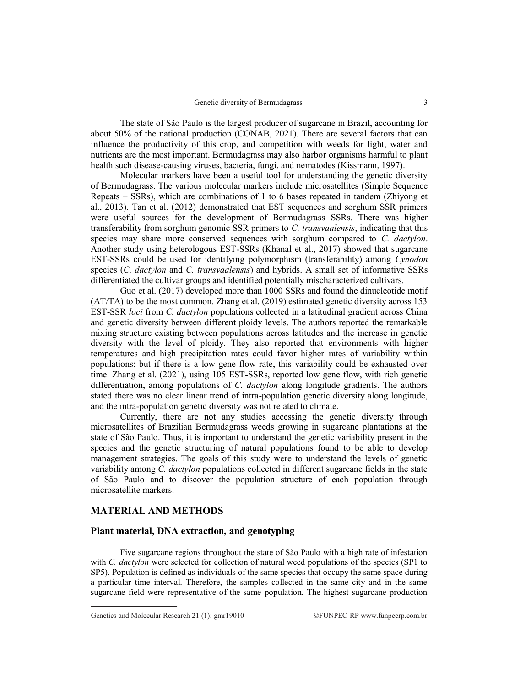The state of São Paulo is the largest producer of sugarcane in Brazil, accounting for about 50% of the national production (CONAB, 2021). There are several factors that can influence the productivity of this crop, and competition with weeds for light, water and nutrients are the most important. Bermudagrass may also harbor organisms harmful to plant health such disease-causing viruses, bacteria, fungi, and nematodes (Kissmann, 1997).

Molecular markers have been a useful tool for understanding the genetic diversity of Bermudagrass. The various molecular markers include microsatellites (Simple Sequence Repeats – SSRs), which are combinations of 1 to 6 bases repeated in tandem (Zhiyong et al., 2013). Tan et al. (2012) demonstrated that EST sequences and sorghum SSR primers were useful sources for the development of Bermudagrass SSRs. There was higher transferability from sorghum genomic SSR primers to *C. transvaalensis*, indicating that this species may share more conserved sequences with sorghum compared to *C. dactylon*. Another study using heterologous EST-SSRs (Khanal et al., 2017) showed that sugarcane EST-SSRs could be used for identifying polymorphism (transferability) among *Cynodon* species (*C. dactylon* and *C. transvaalensis*) and hybrids. A small set of informative SSRs differentiated the cultivar groups and identified potentially mischaracterized cultivars.

Guo et al. (2017) developed more than 1000 SSRs and found the dinucleotide motif (AT/TA) to be the most common. Zhang et al. (2019) estimated genetic diversity across 153 EST-SSR *loci* from *C. dactylon* populations collected in a latitudinal gradient across China and genetic diversity between different ploidy levels. The authors reported the remarkable mixing structure existing between populations across latitudes and the increase in genetic diversity with the level of ploidy. They also reported that environments with higher temperatures and high precipitation rates could favor higher rates of variability within populations; but if there is a low gene flow rate, this variability could be exhausted over time. Zhang et al. (2021), using 105 EST-SSRs, reported low gene flow, with rich genetic differentiation, among populations of *C. dactylon* along longitude gradients. The authors stated there was no clear linear trend of intra-population genetic diversity along longitude, and the intra-population genetic diversity was not related to climate.

Currently, there are not any studies accessing the genetic diversity through microsatellites of Brazilian Bermudagrass weeds growing in sugarcane plantations at the state of São Paulo. Thus, it is important to understand the genetic variability present in the species and the genetic structuring of natural populations found to be able to develop management strategies. The goals of this study were to understand the levels of genetic variability among *C. dactylon* populations collected in different sugarcane fields in the state of São Paulo and to discover the population structure of each population through microsatellite markers.

# **MATERIAL AND METHODS**

#### **Plant material, DNA extraction, and genotyping**

Five sugarcane regions throughout the state of São Paulo with a high rate of infestation with *C. dactylon* were selected for collection of natural weed populations of the species (SP1 to SP5). Population is defined as individuals of the same species that occupy the same space during a particular time interval. Therefore, the samples collected in the same city and in the same sugarcane field were representative of the same population. The highest sugarcane production

Genetics and Molecular Research 21 (1):  $gmr19010$  ©FUNPEC-RP www.funpecrp.com.br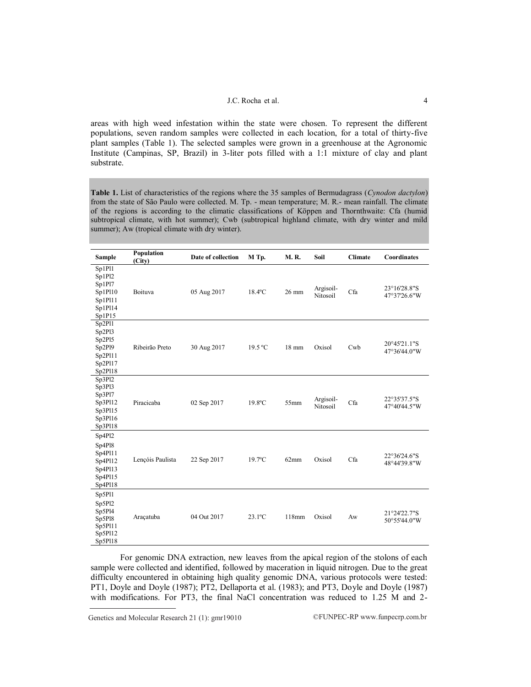areas with high weed infestation within the state were chosen. To represent the different populations, seven random samples were collected in each location, for a total of thirty-five plant samples (Table 1). The selected samples were grown in a greenhouse at the Agronomic Institute (Campinas, SP, Brazil) in 3-liter pots filled with a 1:1 mixture of clay and plant substrate.

**Table 1.** List of characteristics of the regions where the 35 samples of Bermudagrass (*Cynodon dactylon*) from the state of São Paulo were collected. M. Tp. - mean temperature; M. R.- mean rainfall. The climate of the regions is according to the climatic classifications of Köppen and Thornthwaite: Cfa (humid subtropical climate, with hot summer); Cwb (subtropical highland climate, with dry winter and mild summer); Aw (tropical climate with dry winter).

| Sample                                                                  | Population<br>(City) | Date of collection | M Tp.            | <b>M.R.</b>     | Soil                  | <b>Climate</b> | Coordinates                  |
|-------------------------------------------------------------------------|----------------------|--------------------|------------------|-----------------|-----------------------|----------------|------------------------------|
| Sp1Pl1<br>Sp1Pl2<br>Sp1Pl7<br>Sp1Pl10<br>Sp1Pl11<br>Sp1Pl14<br>Sp1P15   | Boituva              | 05 Aug 2017        | $18.4$ °C        | 26 mm           | Argisoil-<br>Nitosoil | Cfa            | 23°16'28.8"S<br>47°37'26.6"W |
| Sp2P11<br>Sp2Pl3<br>Sp2Pl5<br>Sp2Pl9<br>Sp2Pl11<br>Sp2Pl17<br>Sp2P118   | Ribeirão Preto       | 30 Aug 2017        | 19.5 °C          | $18 \text{ mm}$ | Oxisol                | Cwb            | 20°45'21.1"S<br>47°36'44.0"W |
| Sp3P12<br>Sp3Pl3<br>Sp3Pl7<br>Sp3Pl12<br>Sp3Pl15<br>Sp3Pl16<br>Sp3Pl18  | Piracicaba           | 02 Sep 2017        | $19.8$ °C        | 55mm            | Argisoil-<br>Nitosoil | Cfa            | 22°35'37.5"S<br>47°40'44.5"W |
| Sp4Pl2<br>Sp4Pl8<br>Sp4Pl11<br>Sp4Pl12<br>Sp4Pl13<br>Sp4Pl15<br>Sp4Pl18 | Lençóis Paulista     | 22 Sep 2017        | $19.7$ °C        | 62mm            | Oxisol                | Cfa            | 22°36'24.6"S<br>48°44'39.8"W |
| Sp5Pl1<br>Sp5Pl2<br>Sp5Pl4<br>Sp5Pl8<br>Sp5Pl11<br>Sp5Pl12<br>Sp5Pl18   | Araçatuba            | 04 Out 2017        | $23.1^{\circ}$ C | 118mm           | Oxisol                | Aw             | 21°24'22.7"S<br>50°55'44.0"W |

For genomic DNA extraction, new leaves from the apical region of the stolons of each sample were collected and identified, followed by maceration in liquid nitrogen. Due to the great difficulty encountered in obtaining high quality genomic DNA, various protocols were tested: PT1, Doyle and Doyle (1987); PT2, Dellaporta et al. (1983); and PT3, Doyle and Doyle (1987) with modifications. For PT3, the final NaCl concentration was reduced to 1.25 M and 2-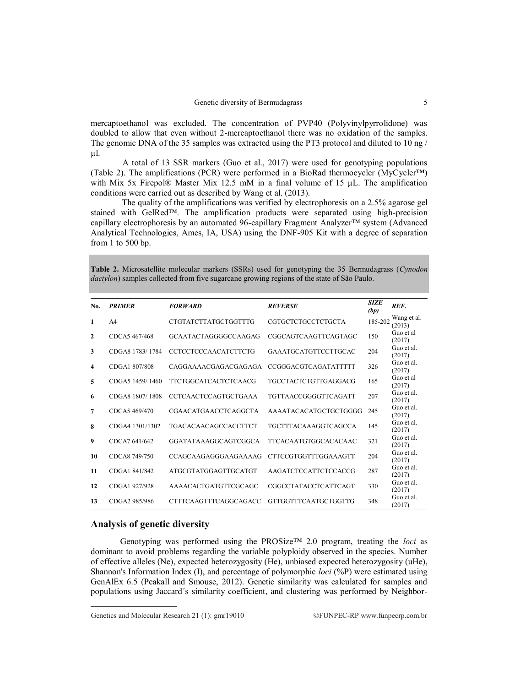#### Genetic diversity of Bermudagrass 5

mercaptoethanol was excluded. The concentration of PVP40 (Polyvinylpyrrolidone) was doubled to allow that even without 2-mercaptoethanol there was no oxidation of the samples. The genomic DNA of the 35 samples was extracted using the PT3 protocol and diluted to 10 ng / µl.

A total of 13 SSR markers (Guo et al., 2017) were used for genotyping populations (Table 2). The amplifications (PCR) were performed in a BioRad thermocycler (MyCycler™) with Mix 5x Firepol® Master Mix 12.5 mM in a final volume of 15 µL. The amplification conditions were carried out as described by Wang et al. (2013).

The quality of the amplifications was verified by electrophoresis on a 2.5% agarose gel stained with GelRed™. The amplification products were separated using high-precision capillary electrophoresis by an automated 96-capillary Fragment Analyzer™ system (Advanced Analytical Technologies, Ames, IA, USA) using the DNF-905 Kit with a degree of separation from 1 to 500 bp.

**Table 2.** Microsatellite molecular markers (SSRs) used for genotyping the 35 Bermudagrass (*Cynodon dactylon*) samples collected from five sugarcane growing regions of the state of São Paulo.

| No.                     | <b>PRIMER</b>   | <b>FORWARD</b>               | <b>REVERSE</b>              | <b>SIZE</b><br>(bp) | REF.                  |
|-------------------------|-----------------|------------------------------|-----------------------------|---------------------|-----------------------|
| 1                       | A <sub>4</sub>  | CTGTATCTTATGCTGGTTTG         | <b>CGTGCTCTGCCTCTGCTA</b>   | 185-202             | Wang et al.<br>(2013) |
| $\mathbf{2}$            | CDCA5 467/468   | GCAATACTAGGGGCCAAGAG         | CGGCAGTCAAGTTCAGTAGC        | 150                 | Guo et al<br>(2017)   |
| 3                       | CDGA8 1783/1784 | <b>CCTCCTCCCAACATCTTCTG</b>  | <b>GAAATGCATGTTCCTTGCAC</b> | 204                 | Guo et al.<br>(2017)  |
| $\overline{\mathbf{4}}$ | CDGA1 807/808   | CAGGAAAACGAGACGAGAGA         | <b>CCGGGACGTCAGATATTTTT</b> | 326                 | Guo et al.<br>(2017)  |
| 5                       | CDGA5 1459/1460 | <b>TTCTGGCATCACTCTCAACG</b>  | TGCCTACTCTGTTGAGGACG        | 165                 | Guo et al<br>(2017)   |
| 6                       | CDGA8 1807/1808 | <b>CCTCAACTCCAGTGCTGAAA</b>  | TGTTAACCGGGGTTCAGATT        | 207                 | Guo et al.<br>(2017)  |
| $\overline{7}$          | CDCA5 469/470   | <b>CGAACATGAACCTCAGGCTA</b>  | AAAATACACATGCTGCTGGGG       | 245                 | Guo et al.<br>(2017)  |
| 8                       | CDGA4 1301/1302 | <b>TGACACAACAGCCACCTTCT</b>  | <b>TGCTTTACAAAGGTCAGCCA</b> | 145                 | Guo et al.<br>(2017)  |
| 9                       | CDCA7 641/642   | GGATATAAAGGCAGTCGGCA         | <b>TTCACAATGTGGCACACAAC</b> | 321                 | Guo et al.<br>(2017)  |
| 10                      | CDCA8 749/750   | CCAGCAAGAGGGAAGAAAAG         | <b>CTTCCGTGGTTTGGAAAGTT</b> | 204                 | Guo et al.<br>(2017)  |
| 11                      | CDGA1 841/842   | ATGCGTATGGAGTTGCATGT         | AAGATCTCCATTCTCCACCG        | 287                 | Guo et al.<br>(2017)  |
| 12                      | CDGA1 927/928   | AAAACACTGATGTTCGCAGC         | CGGCCTATACCTCATTCAGT        | 330                 | Guo et al.<br>(2017)  |
| 13                      | CDGA2 985/986   | <b>CTTTCAAGTTTCAGGCAGACC</b> | GTTGGTTTCAATGCTGGTTG        | 348                 | Guo et al.<br>(2017)  |

## **Analysis of genetic diversity**

Genotyping was performed using the PROSize™ 2.0 program, treating the *loci* as dominant to avoid problems regarding the variable polyploidy observed in the species. Number of effective alleles (Ne), expected heterozygosity (He), unbiased expected heterozygosity (uHe), Shannon's Information Index (I), and percentage of polymorphic *loci* (%P) were estimated using GenAlEx 6.5 (Peakall and Smouse, 2012). Genetic similarity was calculated for samples and populations using Jaccard´s similarity coefficient, and clustering was performed by Neighbor-

Genetics and Molecular Research 21 (1):  $gmr19010$  ©FUNPEC-RP www.funpecrp.com.br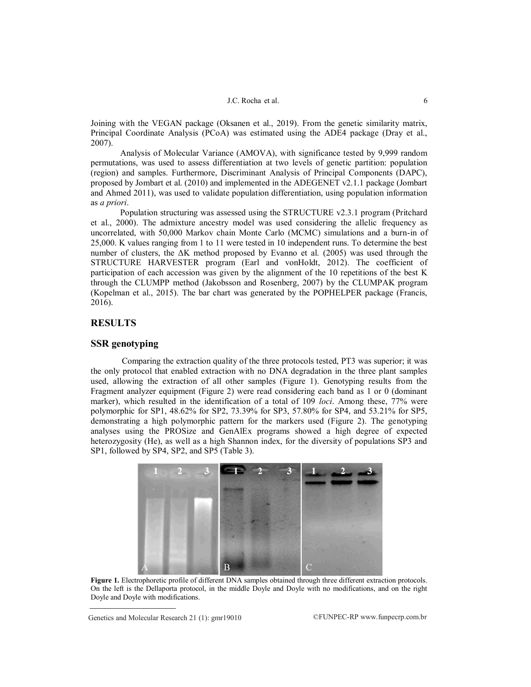Joining with the VEGAN package (Oksanen et al., 2019). From the genetic similarity matrix, Principal Coordinate Analysis (PCoA) was estimated using the ADE4 package (Dray et al., 2007).

Analysis of Molecular Variance (AMOVA), with significance tested by 9,999 random permutations, was used to assess differentiation at two levels of genetic partition: population (region) and samples. Furthermore, Discriminant Analysis of Principal Components (DAPC), proposed by Jombart et al. (2010) and implemented in the ADEGENET v2.1.1 package (Jombart and Ahmed 2011), was used to validate population differentiation, using population information as *a priori*.

Population structuring was assessed using the STRUCTURE v2.3.1 program (Pritchard et al., 2000). The admixture ancestry model was used considering the allelic frequency as uncorrelated, with 50,000 Markov chain Monte Carlo (MCMC) simulations and a burn-in of 25,000. K values ranging from 1 to 11 were tested in 10 independent runs. To determine the best number of clusters, the ΔK method proposed by Evanno et al. (2005) was used through the STRUCTURE HARVESTER program (Earl and vonHoldt, 2012). The coefficient of participation of each accession was given by the alignment of the 10 repetitions of the best K through the CLUMPP method (Jakobsson and Rosenberg, 2007) by the CLUMPAK program (Kopelman et al., 2015). The bar chart was generated by the POPHELPER package (Francis, 2016).

## **RESULTS**

## **SSR genotyping**

Comparing the extraction quality of the three protocols tested, PT3 was superior; it was the only protocol that enabled extraction with no DNA degradation in the three plant samples used, allowing the extraction of all other samples (Figure 1). Genotyping results from the Fragment analyzer equipment (Figure 2) were read considering each band as 1 or 0 (dominant marker), which resulted in the identification of a total of 109 *loci*. Among these, 77% were polymorphic for SP1, 48.62% for SP2, 73.39% for SP3, 57.80% for SP4, and 53.21% for SP5, demonstrating a high polymorphic pattern for the markers used (Figure 2). The genotyping analyses using the PROSize and GenAlEx programs showed a high degree of expected heterozygosity (He), as well as a high Shannon index, for the diversity of populations SP3 and SP1, followed by SP4, SP2, and SP5 (Table 3).



**Figure 1.** Electrophoretic profile of different DNA samples obtained through three different extraction protocols. On the left is the Dellaporta protocol, in the middle Doyle and Doyle with no modifications, and on the right Doyle and Doyle with modifications.

Genetics and Molecular Research 21 (1):  $gmr19010$  ©FUNPEC-RP www.funpecrp.com.br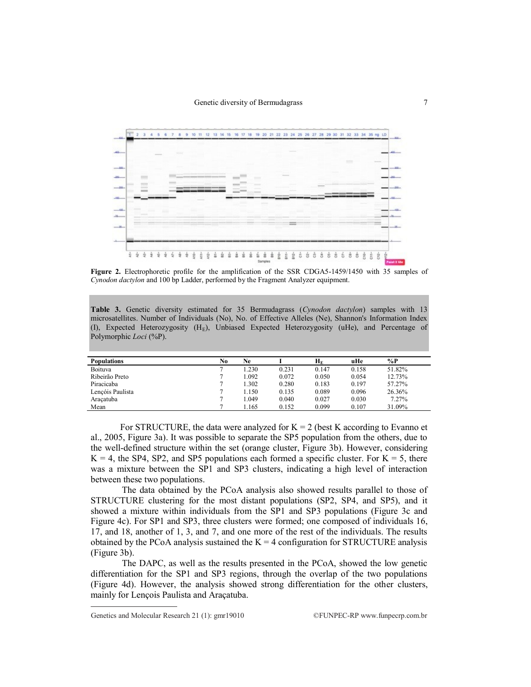

**Figure 2.** Electrophoretic profile for the amplification of the SSR CDGA5-1459/1450 with 35 samples of *Cynodon dactylon* and 100 bp Ladder, performed by the Fragment Analyzer equipment.

**Table 3.** Genetic diversity estimated for 35 Bermudagrass (*Cynodon dactylon*) samples with 13 microsatellites. Number of Individuals (No), No. of Effective Alleles (Ne), Shannon's Information Index (I), Expected Heterozygosity (HE), Unbiased Expected Heterozygosity (uHe), and Percentage of Polymorphic *Loci* (%P).

| <b>Populations</b> | No | Ne    |       | $\mathbf{H}_{\mathbf{E}}$ | uHe   | $\%P$  |
|--------------------|----|-------|-------|---------------------------|-------|--------|
| Boituva            |    | 1.230 | 0.231 | 0.147                     | 0.158 | 51.82% |
| Ribeirão Preto     |    | .092  | 0.072 | 0.050                     | 0.054 | 12.73% |
| Piracicaba         |    | 1.302 | 0.280 | 0.183                     | 0.197 | 57.27% |
| Lençóis Paulista   |    | 1.150 | 0.135 | 0.089                     | 0.096 | 26.36% |
| Aracatuba          |    | .049  | 0.040 | 0.027                     | 0.030 | 7.27%  |
| Mean               |    | .165  | 0.152 | 0.099                     | 0.107 | 31.09% |

For STRUCTURE, the data were analyzed for  $K = 2$  (best K according to Evanno et al., 2005, Figure 3a). It was possible to separate the SP5 population from the others, due to the well-defined structure within the set (orange cluster, Figure 3b). However, considering  $K = 4$ , the SP4, SP2, and SP5 populations each formed a specific cluster. For  $K = 5$ , there was a mixture between the SP1 and SP3 clusters, indicating a high level of interaction between these two populations.

The data obtained by the PCoA analysis also showed results parallel to those of STRUCTURE clustering for the most distant populations (SP2, SP4, and SP5), and it showed a mixture within individuals from the SP1 and SP3 populations (Figure 3c and Figure 4c). For SP1 and SP3, three clusters were formed; one composed of individuals 16, 17, and 18, another of 1, 3, and 7, and one more of the rest of the individuals. The results obtained by the PCoA analysis sustained the  $K = 4$  configuration for STRUCTURE analysis (Figure 3b).

The DAPC, as well as the results presented in the PCoA, showed the low genetic differentiation for the SP1 and SP3 regions, through the overlap of the two populations (Figure 4d). However, the analysis showed strong differentiation for the other clusters, mainly for Lençois Paulista and Araçatuba.

Genetics and Molecular Research 21 (1):  $gmr19010$  ©FUNPEC-RP www.funpecrp.com.br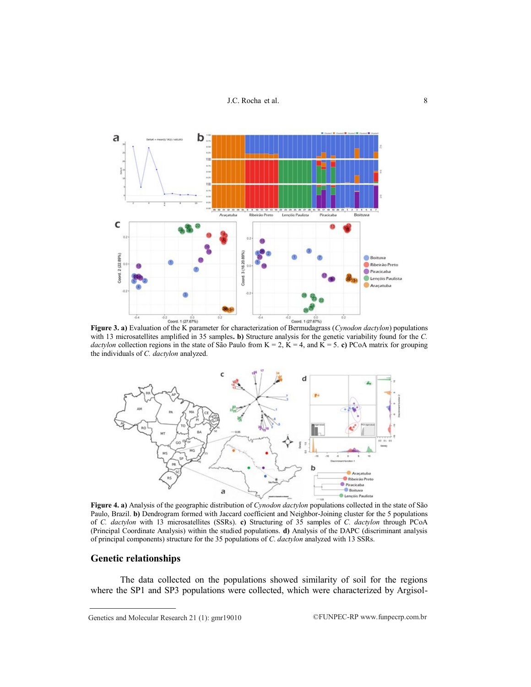

with 13 microsatellites amplified in 35 samples**. b)** Structure analysis for the genetic variability found for the *C. dactylon* collection regions in the state of São Paulo from  $K = 2$ ,  $K = 4$ , and  $K = 5$ . **c**) PCoA matrix for grouping the individuals of *C. dactylon* analyzed.



**Figure 4. a)** Analysis of the geographic distribution of *Cynodon dactylon* populations collected in the state of São Paulo, Brazil. **b)** Dendrogram formed with Jaccard coefficient and Neighbor-Joining cluster for the 5 populations of *C. dactylon* with 13 microsatellites (SSRs). **c)** Structuring of 35 samples of *C. dactylon* through PCoA (Principal Coordinate Analysis) within the studied populations. **d)** Analysis of the DAPC (discriminant analysis of principal components) structure for the 35 populations of *C. dactylon* analyzed with 13 SSRs.

## **Genetic relationships**

The data collected on the populations showed similarity of soil for the regions where the SP1 and SP3 populations were collected, which were characterized by Argisol-

Genetics and Molecular Research 21 (1):  $gmr19010$  ©FUNPEC-RP www.funpecrp.com.br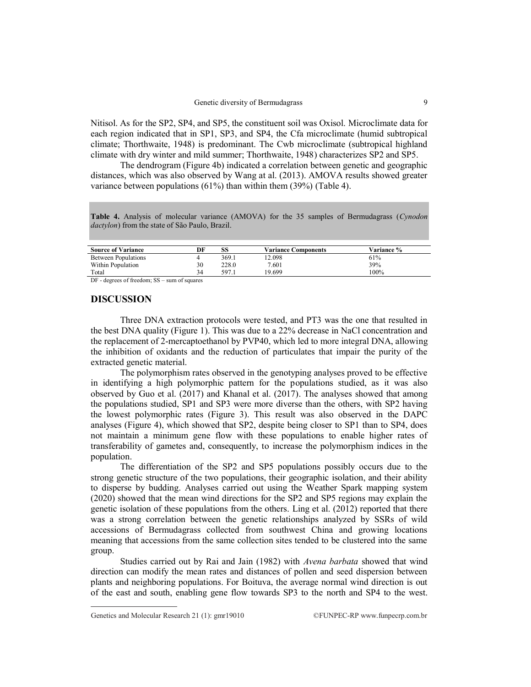Nitisol. As for the SP2, SP4, and SP5, the constituent soil was Oxisol. Microclimate data for each region indicated that in SP1, SP3, and SP4, the Cfa microclimate (humid subtropical climate; Thorthwaite, 1948) is predominant. The Cwb microclimate (subtropical highland climate with dry winter and mild summer; Thorthwaite, 1948) characterizes SP2 and SP5.

The dendrogram (Figure 4b) indicated a correlation between genetic and geographic distances, which was also observed by Wang at al. (2013). AMOVA results showed greater variance between populations (61%) than within them (39%) (Table 4).

**Table 4.** Analysis of molecular variance (AMOVA) for the 35 samples of Bermudagrass (*Cynodon dactylon*) from the state of São Paulo, Brazil.

| <b>Source of Variance</b>  | DF | SS    | <b>Variance Components</b> | <b>Variance %</b> |
|----------------------------|----|-------|----------------------------|-------------------|
| <b>Between Populations</b> |    | 369.1 | 12.098                     | 61%               |
| Within Population          | 30 | 228.0 | 7.601                      | 39%               |
| Total                      | 34 | 597   | 19.699                     | 100%              |

DF - degrees of freedom; SS – sum of squares

## **DISCUSSION**

Three DNA extraction protocols were tested, and PT3 was the one that resulted in the best DNA quality (Figure 1). This was due to a 22% decrease in NaCl concentration and the replacement of 2-mercaptoethanol by PVP40, which led to more integral DNA, allowing the inhibition of oxidants and the reduction of particulates that impair the purity of the extracted genetic material.

The polymorphism rates observed in the genotyping analyses proved to be effective in identifying a high polymorphic pattern for the populations studied, as it was also observed by Guo et al. (2017) and Khanal et al. (2017). The analyses showed that among the populations studied, SP1 and SP3 were more diverse than the others, with SP2 having the lowest polymorphic rates (Figure 3). This result was also observed in the DAPC analyses (Figure 4), which showed that SP2, despite being closer to SP1 than to SP4, does not maintain a minimum gene flow with these populations to enable higher rates of transferability of gametes and, consequently, to increase the polymorphism indices in the population.

The differentiation of the SP2 and SP5 populations possibly occurs due to the strong genetic structure of the two populations, their geographic isolation, and their ability to disperse by budding. Analyses carried out using the Weather Spark mapping system (2020) showed that the mean wind directions for the SP2 and SP5 regions may explain the genetic isolation of these populations from the others. Ling et al. (2012) reported that there was a strong correlation between the genetic relationships analyzed by SSRs of wild accessions of Bermudagrass collected from southwest China and growing locations meaning that accessions from the same collection sites tended to be clustered into the same group.

Studies carried out by Rai and Jain (1982) with *Avena barbata* showed that wind direction can modify the mean rates and distances of pollen and seed dispersion between plants and neighboring populations. For Boituva, the average normal wind direction is out of the east and south, enabling gene flow towards SP3 to the north and SP4 to the west.

Genetics and Molecular Research 21 (1):  $gmr19010$  ©FUNPEC-RP www.funpecrp.com.br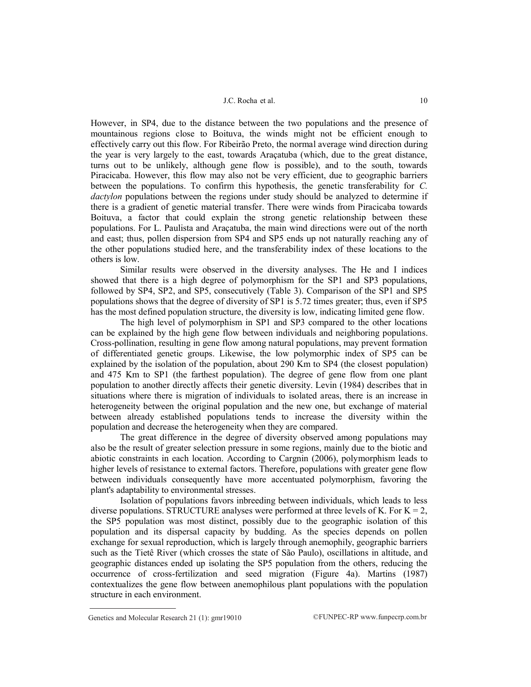However, in SP4, due to the distance between the two populations and the presence of mountainous regions close to Boituva, the winds might not be efficient enough to effectively carry out this flow. For Ribeirão Preto, the normal average wind direction during the year is very largely to the east, towards Araçatuba (which, due to the great distance, turns out to be unlikely, although gene flow is possible), and to the south, towards Piracicaba. However, this flow may also not be very efficient, due to geographic barriers between the populations. To confirm this hypothesis, the genetic transferability for *C. dactylon* populations between the regions under study should be analyzed to determine if there is a gradient of genetic material transfer. There were winds from Piracicaba towards Boituva, a factor that could explain the strong genetic relationship between these populations. For L. Paulista and Araçatuba, the main wind directions were out of the north and east; thus, pollen dispersion from SP4 and SP5 ends up not naturally reaching any of the other populations studied here, and the transferability index of these locations to the others is low.

Similar results were observed in the diversity analyses. The He and I indices showed that there is a high degree of polymorphism for the SP1 and SP3 populations, followed by SP4, SP2, and SP5, consecutively (Table 3). Comparison of the SP1 and SP5 populations shows that the degree of diversity of SP1 is 5.72 times greater; thus, even if SP5 has the most defined population structure, the diversity is low, indicating limited gene flow.

The high level of polymorphism in SP1 and SP3 compared to the other locations can be explained by the high gene flow between individuals and neighboring populations. Cross-pollination, resulting in gene flow among natural populations, may prevent formation of differentiated genetic groups. Likewise, the low polymorphic index of SP5 can be explained by the isolation of the population, about 290 Km to SP4 (the closest population) and 475 Km to SP1 (the farthest population). The degree of gene flow from one plant population to another directly affects their genetic diversity. Levin (1984) describes that in situations where there is migration of individuals to isolated areas, there is an increase in heterogeneity between the original population and the new one, but exchange of material between already established populations tends to increase the diversity within the population and decrease the heterogeneity when they are compared.

The great difference in the degree of diversity observed among populations may also be the result of greater selection pressure in some regions, mainly due to the biotic and abiotic constraints in each location. According to Cargnin (2006), polymorphism leads to higher levels of resistance to external factors. Therefore, populations with greater gene flow between individuals consequently have more accentuated polymorphism, favoring the plant's adaptability to environmental stresses.

Isolation of populations favors inbreeding between individuals, which leads to less diverse populations. STRUCTURE analyses were performed at three levels of K. For  $K = 2$ , the SP5 population was most distinct, possibly due to the geographic isolation of this population and its dispersal capacity by budding. As the species depends on pollen exchange for sexual reproduction, which is largely through anemophily, geographic barriers such as the Tietê River (which crosses the state of São Paulo), oscillations in altitude, and geographic distances ended up isolating the SP5 population from the others, reducing the occurrence of cross-fertilization and seed migration (Figure 4a). Martins (1987) contextualizes the gene flow between anemophilous plant populations with the population structure in each environment.

Genetics and Molecular Research 21 (1):  $gmr19010$  ©FUNPEC-RP www.funpecrp.com.br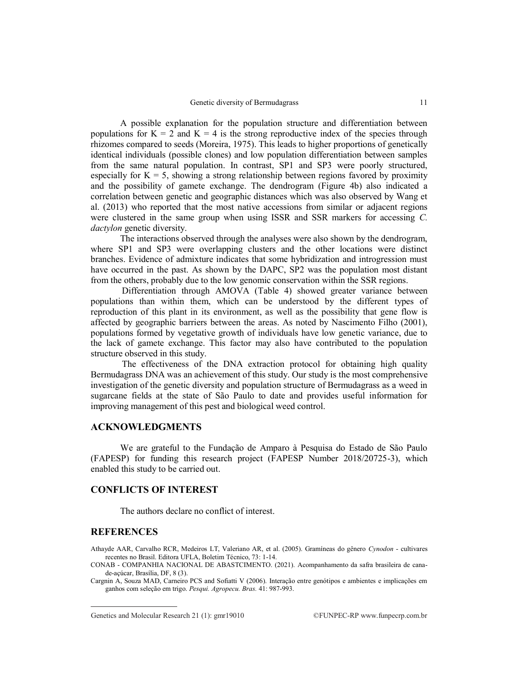A possible explanation for the population structure and differentiation between populations for  $K = 2$  and  $K = 4$  is the strong reproductive index of the species through rhizomes compared to seeds (Moreira, 1975). This leads to higher proportions of genetically identical individuals (possible clones) and low population differentiation between samples from the same natural population. In contrast, SP1 and SP3 were poorly structured, especially for  $K = 5$ , showing a strong relationship between regions favored by proximity and the possibility of gamete exchange. The dendrogram (Figure 4b) also indicated a correlation between genetic and geographic distances which was also observed by Wang et al. (2013) who reported that the most native accessions from similar or adjacent regions were clustered in the same group when using ISSR and SSR markers for accessing *C. dactylon* genetic diversity.

The interactions observed through the analyses were also shown by the dendrogram, where SP1 and SP3 were overlapping clusters and the other locations were distinct branches. Evidence of admixture indicates that some hybridization and introgression must have occurred in the past. As shown by the DAPC, SP2 was the population most distant from the others, probably due to the low genomic conservation within the SSR regions.

Differentiation through AMOVA (Table 4) showed greater variance between populations than within them, which can be understood by the different types of reproduction of this plant in its environment, as well as the possibility that gene flow is affected by geographic barriers between the areas. As noted by Nascimento Filho (2001), populations formed by vegetative growth of individuals have low genetic variance, due to the lack of gamete exchange. This factor may also have contributed to the population structure observed in this study.

The effectiveness of the DNA extraction protocol for obtaining high quality Bermudagrass DNA was an achievement of this study. Our study is the most comprehensive investigation of the genetic diversity and population structure of Bermudagrass as a weed in sugarcane fields at the state of São Paulo to date and provides useful information for improving management of this pest and biological weed control.

## **ACKNOWLEDGMENTS**

We are grateful to the Fundação de Amparo à Pesquisa do Estado de São Paulo (FAPESP) for funding this research project (FAPESP Number 2018/20725-3), which enabled this study to be carried out.

#### **CONFLICTS OF INTEREST**

The authors declare no conflict of interest.

## **REFERENCES**

Athayde AAR, Carvalho RCR, Medeiros LT, Valeriano AR, et al. (2005). Gramíneas do gênero *Cynodon* - cultivares recentes no Brasil. Editora UFLA, Boletim Técnico, 73: 1-14.

CONAB - COMPANHIA NACIONAL DE ABASTCIMENTO. (2021). Acompanhamento da safra brasileira de canade-açúcar, Brasília, DF, 8 (3).

Cargnin A, Souza MAD, Carneiro PCS and Sofiatti V (2006). Interação entre genótipos e ambientes e implicações em ganhos com seleção em trigo. *Pesqui. Agropecu. Bras.* 41: 987-993.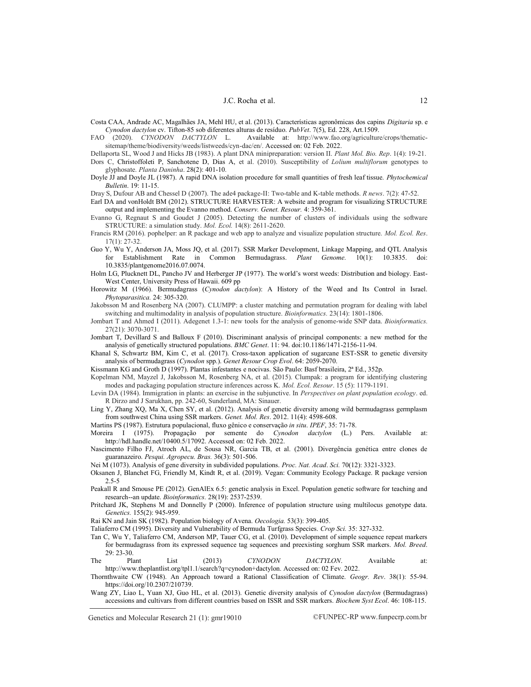Costa CAA, Andrade AC, Magalhães JA, Mehl HU, et al. (2013). Características agronômicas dos capins *Digitaria* sp. e *Cynodon dactylon* cv. Tifton-85 sob diferentes alturas de resíduo. *PubVet*. 7(5), Ed. 228, Art.1509.<br>FAO (2020). *CYNODON DACTYLON* L. Available at: http://www.fao.org/agricultur

Available at: http://www.fao.org/agriculture/crops/thematicsitemap/theme/biodiversity/weeds/listweeds/cyn-dac/en/. Accessed on: 02 Feb. 2022.

Dellaporta SL, Wood J and Hicks JB (1983). A plant DNA minipreparation: version II. *Plant Mol. Bio. Rep*. 1(4): 19-21.

- Dors C, Christoffoleti P, Sanchotene D, Dias A, et al. (2010). Susceptibility of *Lolium multiflorum* genotypes to glyphosate. *Planta Daninha*. 28(2): 401-10.
- Doyle JJ and Doyle JL (1987). A rapid DNA isolation procedure for small quantities of fresh leaf tissue. *Phytochemical Bulletin*. 19: 11-15.

Dray S, Dufour AB and Chessel D (2007). The ade4 package-II: Two-table and K-table methods. *R news*. 7(2): 47-52.

Earl DA and vonHoldt BM (2012). STRUCTURE HARVESTER: A website and program for visualizing STRUCTURE output and implementing the Evanno method. *Conserv. Genet. Resour.* 4: 359-361.

- Evanno G, Regnaut S and Goudet J (2005). Detecting the number of clusters of individuals using the software STRUCTURE: a simulation study. *Mol. Ecol.* 14(8): 2611-2620.
- Francis RM (2016). pophelper: an R package and web app to analyze and visualize population structure. *Mol. Ecol. Res*. 17(1): 27-32.
- Guo Y, Wu Y, Anderson JA, Moss JQ, et al. (2017). SSR Marker Development, Linkage Mapping, and QTL Analysis for Establishment Rate in Common Bermudagrass. *Plant Genome.* 10(1): 10.3835. doi: 10.3835/plantgenome2016.07.0074.
- Holm LG, Plucknett DL, Pancho JV and Herberger JP (1977). The world's worst weeds: Distribution and biology. East-West Center, University Press of Hawaii. 609 pp
- Horowitz M (1966). Bermudagrass (*Cynodon dactylon*): A History of the Weed and Its Control in Israel. *Phytoparasitica.* 24: 305-320.
- Jakobsson M and Rosenberg NA (2007). CLUMPP: a cluster matching and permutation program for dealing with label switching and multimodality in analysis of population structure. *Bioinformatics.* 23(14): 1801-1806.
- Jombart T and Ahmed I (2011). Adegenet 1.3-1: new tools for the analysis of genome-wide SNP data. *Bioinformatics.* 27(21): 3070-3071.
- Jombart T, Devillard S and Balloux F (2010). Discriminant analysis of principal components: a new method for the analysis of genetically structured populations. *BMC Genet*. 11: 94. doi:10.1186/1471-2156-11-94.

Khanal S, Schwartz BM, Kim C, et al. (2017). Cross-taxon application of sugarcane EST-SSR to genetic diversity analysis of bermudagrass (*Cynodon* spp.). *Genet Resour Crop Evol*. 64: 2059-2070.

Kissmann KG and Groth D (1997). Plantas infestantes e nocivas. São Paulo: Basf brasileira, 2ª Ed., 352p.

- Kopelman NM, Mayzel J, Jakobsson M, Rosenberg NA, et al. (2015). Clumpak: a program for identifying clustering modes and packaging population structure inferences across K. *Mol. Ecol. Resour*. 15 (5): 1179-1191.
- Levin DA (1984). Immigration in plants: an exercise in the subjunctive. In *Perspectives on plant population ecology*. ed. R Dirzo and J Sarukhan, pp. 242-60, Sunderland, MA: Sinauer.
- Ling Y, Zhang XQ, Ma X, Chen SY, et al. (2012). Analysis of genetic diversity among wild bermudagrass germplasm from southwest China using SSR markers. *Genet. Mol. Res*. 2012. 11(4): 4598-608.
- Martins PS (1987). Estrutura populacional, fluxo gênico e conservação *in situ*. *IPEF*, 35: 71-78.
- Moreira I (1975). Propagação por semente do *Cynodon dactylon* (L.) Pers. Available at: [http://hdl.handle.net/10400.5/17092.](http://hdl.handle.net/10400.5/17092) Accessed on: 02 Feb. 2022.
- Nascimento Filho FJ, Atroch AL, de Sousa NR, Garcia TB, et al. (2001). Divergência genética entre clones de guaranazeiro. *Pesqui. Agropecu. Bras.* 36(3): 501-506.

Nei M (1073). Analysis of gene diversity in subdivided populations. *Proc. Nat. Acad*. *Sci.* 70(12): 3321-3323.

- Oksanen J, Blanchet FG, Friendly M, Kindt R, et al. (2019). Vegan: Community Ecology Package. R package version 2.5-5
- Peakall R and Smouse PE (2012). GenAlEx 6.5: genetic analysis in Excel. Population genetic software for teaching and research--an update. *Bioinformatics.* 28(19): 2537-2539.
- Pritchard JK, Stephens M and Donnelly P (2000). Inference of population structure using multilocus genotype data. *Genetics.* 155(2): 945-959.

Rai KN and Jain SK (1982). Population biology of Avena. *Oecologia.* 53(3): 399-405.

Taliaferro CM (1995). Diversity and Vulnerability of Bermuda Turfgrass Species. *Crop Sci.* 35: 327-332.

- Tan C, Wu Y, Taliaferro CM, Anderson MP, Tauer CG, et al. (2010). Development of simple sequence repeat markers for bermudagrass from its expressed sequence tag sequences and preexisting sorghum SSR markers. *Mol. Breed*. 29: 23-30.
- The Plant List (2013) *CYNODON DACTYLON*. Available at: http://www.theplantlist.org/tpl1.1/search?q=cynodon+dactylon. Accessed on: 02 Fev. 2022.
- Thornthwaite CW (1948). An Approach toward a Rational Classification of Climate. *Geogr. Rev*. 38(1): 55-94. [https://doi.org/10.2307/210739.](https://doi.org/10.2307/210739)
- Wang ZY, Liao L, Yuan XJ, Guo HL, et al. (2013). Genetic diversity analysis of *Cynodon dactylon* (Bermudagrass) accessions and cultivars from different countries based on ISSR and SSR markers. *Biochem Syst Ecol*. 46: 108-115.

Genetics and Molecular Research 21 (1): gmr19010 ©FUNPEC-RP www.funpecrp.com.br